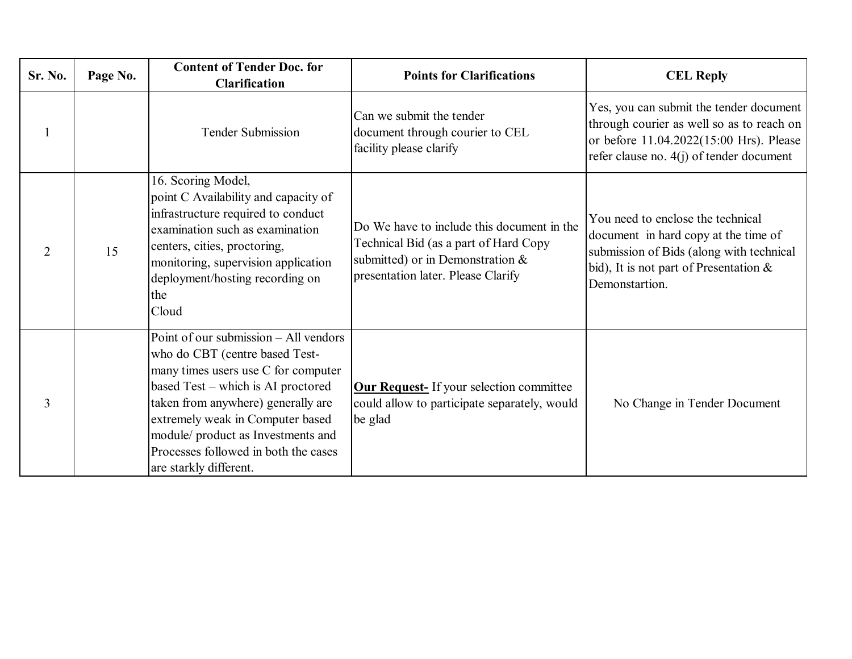| Sr. No.        | Page No. | <b>Content of Tender Doc. for</b><br><b>Clarification</b>                                                                                                                                                                                                                                                                              | <b>Points for Clarifications</b>                                                                                                                              | <b>CEL Reply</b>                                                                                                                                                                  |
|----------------|----------|----------------------------------------------------------------------------------------------------------------------------------------------------------------------------------------------------------------------------------------------------------------------------------------------------------------------------------------|---------------------------------------------------------------------------------------------------------------------------------------------------------------|-----------------------------------------------------------------------------------------------------------------------------------------------------------------------------------|
| $\mathbf{1}$   |          | <b>Tender Submission</b>                                                                                                                                                                                                                                                                                                               | Can we submit the tender<br>document through courier to CEL<br>facility please clarify                                                                        | Yes, you can submit the tender document<br>through courier as well so as to reach on<br>or before 11.04.2022(15:00 Hrs). Please<br>refer clause no. $4(j)$ of tender document     |
| $\overline{2}$ | 15       | 16. Scoring Model,<br>point C Availability and capacity of<br>infrastructure required to conduct<br>examination such as examination<br>centers, cities, proctoring,<br>monitoring, supervision application<br>deployment/hosting recording on<br>the<br>Cloud                                                                          | Do We have to include this document in the<br>Technical Bid (as a part of Hard Copy<br>submitted) or in Demonstration &<br>presentation later. Please Clarify | You need to enclose the technical<br>document in hard copy at the time of<br>submission of Bids (along with technical<br>bid), It is not part of Presentation &<br>Demonstartion. |
| 3              |          | Point of our submission - All vendors<br>who do CBT (centre based Test-<br>many times users use C for computer<br>based Test – which is AI proctored<br>taken from anywhere) generally are<br>extremely weak in Computer based<br>module/ product as Investments and<br>Processes followed in both the cases<br>are starkly different. | <b>Our Request-</b> If your selection committee<br>could allow to participate separately, would<br>be glad                                                    | No Change in Tender Document                                                                                                                                                      |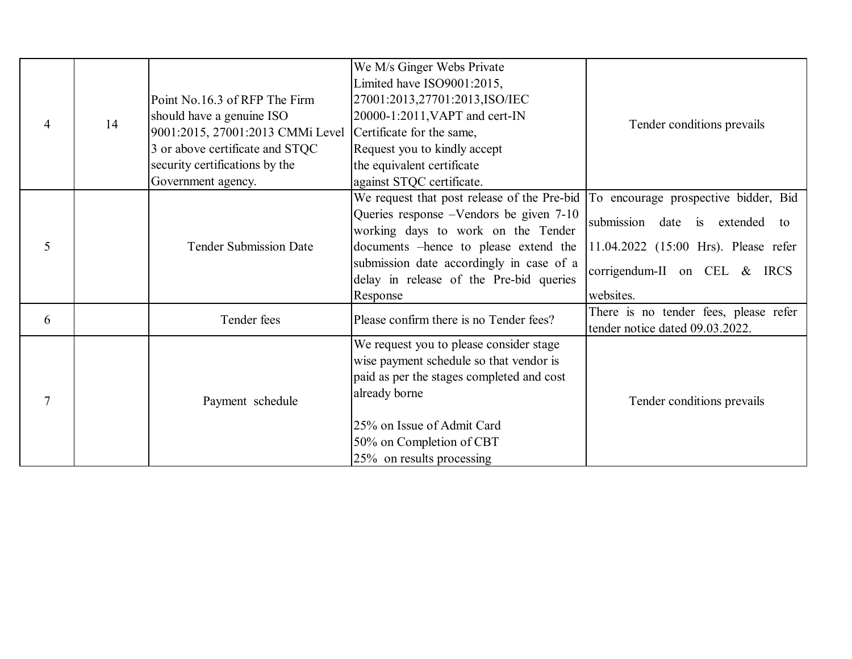| $\overline{4}$ | 14 | Point No.16.3 of RFP The Firm<br>should have a genuine ISO<br>9001:2015, 27001:2013 CMMi Level<br>3 or above certificate and STQC<br>security certifications by the<br>Government agency. | We M/s Ginger Webs Private<br>Limited have ISO9001:2015,<br>27001:2013,27701:2013,ISO/IEC<br>20000-1:2011, VAPT and cert-IN<br>Certificate for the same,<br>Request you to kindly accept<br>the equivalent certificate<br>against STQC certificate.                                                            | Tender conditions prevails                                                                                                   |
|----------------|----|-------------------------------------------------------------------------------------------------------------------------------------------------------------------------------------------|----------------------------------------------------------------------------------------------------------------------------------------------------------------------------------------------------------------------------------------------------------------------------------------------------------------|------------------------------------------------------------------------------------------------------------------------------|
| 5              |    | <b>Tender Submission Date</b>                                                                                                                                                             | We request that post release of the Pre-bid  To encourage prospective bidder, Bid<br>Queries response -Vendors be given 7-10<br>working days to work on the Tender<br>documents -hence to please extend the<br>submission date accordingly in case of a<br>delay in release of the Pre-bid queries<br>Response | submission<br>date<br>extended to<br>is<br>11.04.2022 (15:00 Hrs). Please refer<br>corrigendum-II on CEL & IRCS<br>websites. |
| 6              |    | Tender fees                                                                                                                                                                               | Please confirm there is no Tender fees?                                                                                                                                                                                                                                                                        | There is no tender fees, please refer<br>tender notice dated 09.03.2022.                                                     |
| $\overline{7}$ |    | Payment schedule                                                                                                                                                                          | We request you to please consider stage<br>wise payment schedule so that vendor is<br>paid as per the stages completed and cost<br>already borne<br>25% on Issue of Admit Card<br>50% on Completion of CBT<br>25% on results processing                                                                        | Tender conditions prevails                                                                                                   |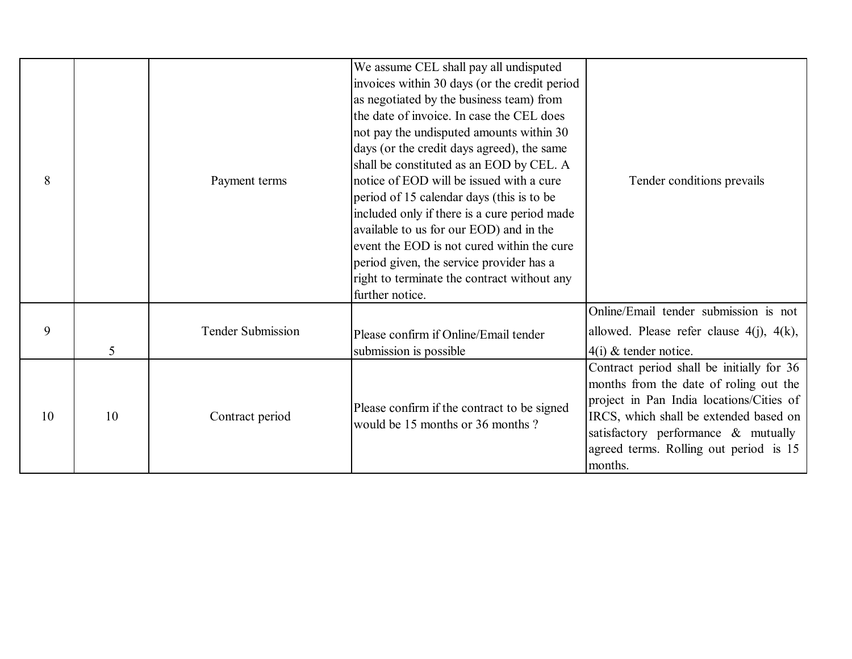| 8  |                | Payment terms            | We assume CEL shall pay all undisputed<br>invoices within 30 days (or the credit period<br>as negotiated by the business team) from<br>the date of invoice. In case the CEL does<br>not pay the undisputed amounts within 30<br>days (or the credit days agreed), the same<br>shall be constituted as an EOD by CEL. A<br>notice of EOD will be issued with a cure<br>period of 15 calendar days (this is to be<br>included only if there is a cure period made<br>available to us for our EOD) and in the<br>event the EOD is not cured within the cure<br>period given, the service provider has a<br>right to terminate the contract without any<br>further notice. | Tender conditions prevails                                                                                                                                                                                                                                            |
|----|----------------|--------------------------|------------------------------------------------------------------------------------------------------------------------------------------------------------------------------------------------------------------------------------------------------------------------------------------------------------------------------------------------------------------------------------------------------------------------------------------------------------------------------------------------------------------------------------------------------------------------------------------------------------------------------------------------------------------------|-----------------------------------------------------------------------------------------------------------------------------------------------------------------------------------------------------------------------------------------------------------------------|
| 9  | 5 <sup>5</sup> | <b>Tender Submission</b> | Please confirm if Online/Email tender<br>submission is possible                                                                                                                                                                                                                                                                                                                                                                                                                                                                                                                                                                                                        | Online/Email tender submission is not<br>allowed. Please refer clause $4(j)$ , $4(k)$ ,<br>$4(i)$ & tender notice.                                                                                                                                                    |
| 10 | 10             | Contract period          | Please confirm if the contract to be signed<br>would be 15 months or 36 months?                                                                                                                                                                                                                                                                                                                                                                                                                                                                                                                                                                                        | Contract period shall be initially for 36<br>months from the date of roling out the<br>project in Pan India locations/Cities of<br>IRCS, which shall be extended based on<br>satisfactory performance & mutually<br>agreed terms. Rolling out period is 15<br>months. |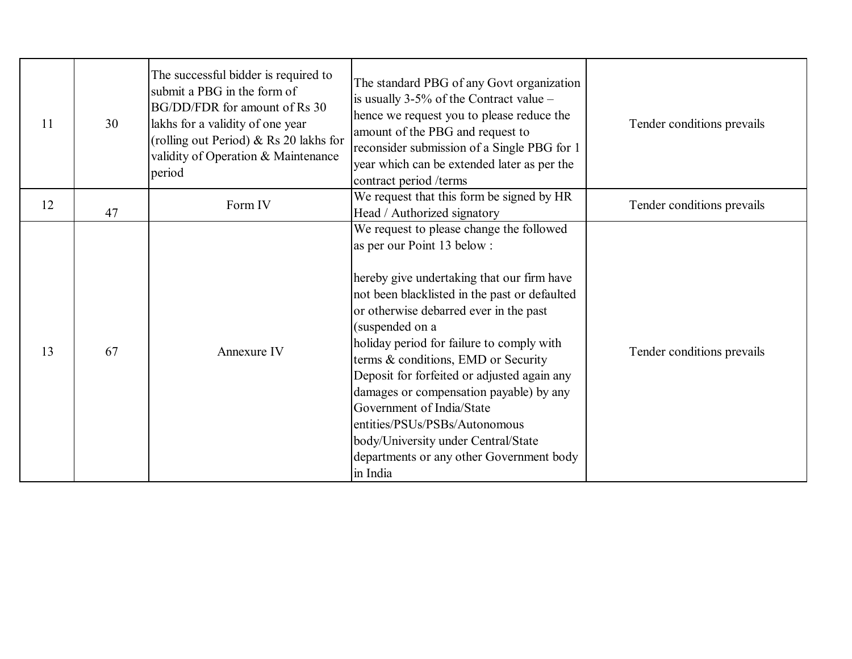| 11 | 30 | The successful bidder is required to<br>submit a PBG in the form of<br>BG/DD/FDR for amount of Rs 30<br>lakhs for a validity of one year<br>(rolling out Period) & Rs 20 lakhs for<br>validity of Operation & Maintenance<br>period | The standard PBG of any Govt organization<br>is usually $3-5\%$ of the Contract value –<br>hence we request you to please reduce the<br>amount of the PBG and request to<br>reconsider submission of a Single PBG for 1<br>year which can be extended later as per the<br>contract period /terms                                                                                                                                                                                                                                                                               | Tender conditions prevails |
|----|----|-------------------------------------------------------------------------------------------------------------------------------------------------------------------------------------------------------------------------------------|--------------------------------------------------------------------------------------------------------------------------------------------------------------------------------------------------------------------------------------------------------------------------------------------------------------------------------------------------------------------------------------------------------------------------------------------------------------------------------------------------------------------------------------------------------------------------------|----------------------------|
| 12 | 47 | Form IV                                                                                                                                                                                                                             | We request that this form be signed by HR<br>Head / Authorized signatory                                                                                                                                                                                                                                                                                                                                                                                                                                                                                                       | Tender conditions prevails |
| 13 | 67 | Annexure IV                                                                                                                                                                                                                         | We request to please change the followed<br>as per our Point 13 below :<br>hereby give undertaking that our firm have<br>not been blacklisted in the past or defaulted<br>or otherwise debarred ever in the past<br>(suspended on a<br>holiday period for failure to comply with<br>terms & conditions, EMD or Security<br>Deposit for forfeited or adjusted again any<br>damages or compensation payable) by any<br>Government of India/State<br>entities/PSUs/PSBs/Autonomous<br>body/University under Central/State<br>departments or any other Government body<br>in India | Tender conditions prevails |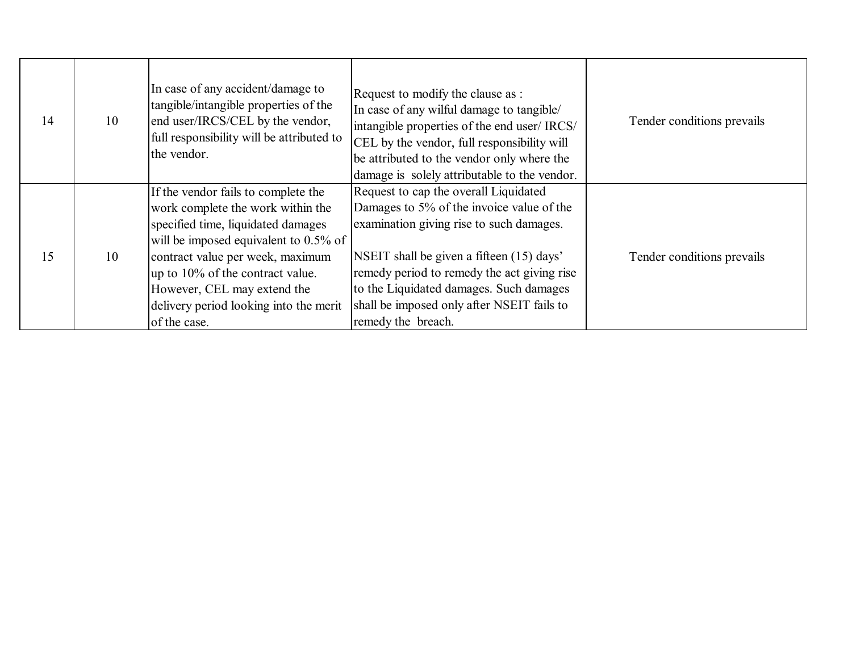| 14 | 10 | In case of any accident/damage to<br>tangible/intangible properties of the<br>end user/IRCS/CEL by the vendor,<br>full responsibility will be attributed to<br>the vendor.                                                                                                                                                  | Request to modify the clause as :<br>In case of any wilful damage to tangible/<br>intangible properties of the end user/ IRCS/<br>CEL by the vendor, full responsibility will<br>be attributed to the vendor only where the<br>damage is solely attributable to the vendor.                                                               | Tender conditions prevails |
|----|----|-----------------------------------------------------------------------------------------------------------------------------------------------------------------------------------------------------------------------------------------------------------------------------------------------------------------------------|-------------------------------------------------------------------------------------------------------------------------------------------------------------------------------------------------------------------------------------------------------------------------------------------------------------------------------------------|----------------------------|
| 15 | 10 | If the vendor fails to complete the<br>work complete the work within the<br>specified time, liquidated damages<br>will be imposed equivalent to $0.5\%$ of<br>contract value per week, maximum<br>up to 10% of the contract value.<br>However, CEL may extend the<br>delivery period looking into the merit<br>of the case. | Request to cap the overall Liquidated<br>Damages to 5% of the invoice value of the<br>examination giving rise to such damages.<br>NSEIT shall be given a fifteen (15) days'<br>remedy period to remedy the act giving rise<br>to the Liquidated damages. Such damages<br>shall be imposed only after NSEIT fails to<br>remedy the breach. | Tender conditions prevails |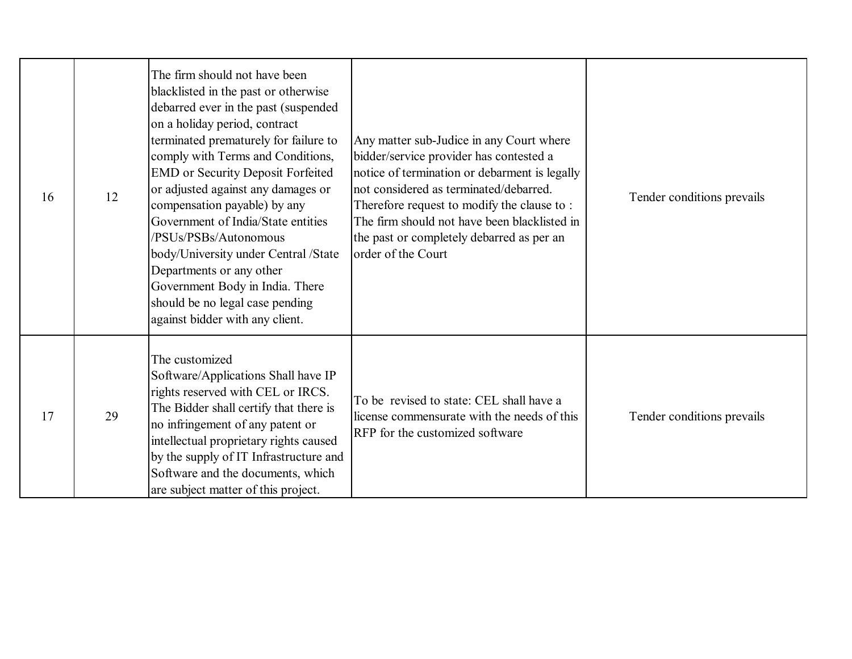| 16 | 12 | The firm should not have been<br>blacklisted in the past or otherwise<br>debarred ever in the past (suspended<br>on a holiday period, contract<br>terminated prematurely for failure to<br>comply with Terms and Conditions,<br><b>EMD</b> or Security Deposit Forfeited<br>or adjusted against any damages or<br>compensation payable) by any<br>Government of India/State entities<br>/PSUs/PSBs/Autonomous<br>body/University under Central /State<br>Departments or any other<br>Government Body in India. There<br>should be no legal case pending<br>against bidder with any client. | Any matter sub-Judice in any Court where<br>bidder/service provider has contested a<br>notice of termination or debarment is legally<br>not considered as terminated/debarred.<br>Therefore request to modify the clause to:<br>The firm should not have been blacklisted in<br>the past or completely debarred as per an<br>order of the Court | Tender conditions prevails |
|----|----|--------------------------------------------------------------------------------------------------------------------------------------------------------------------------------------------------------------------------------------------------------------------------------------------------------------------------------------------------------------------------------------------------------------------------------------------------------------------------------------------------------------------------------------------------------------------------------------------|-------------------------------------------------------------------------------------------------------------------------------------------------------------------------------------------------------------------------------------------------------------------------------------------------------------------------------------------------|----------------------------|
| 17 | 29 | The customized<br>Software/Applications Shall have IP<br>rights reserved with CEL or IRCS.<br>The Bidder shall certify that there is<br>no infringement of any patent or<br>intellectual proprietary rights caused<br>by the supply of IT Infrastructure and<br>Software and the documents, which<br>are subject matter of this project.                                                                                                                                                                                                                                                   | To be revised to state: CEL shall have a<br>license commensurate with the needs of this<br>RFP for the customized software                                                                                                                                                                                                                      | Tender conditions prevails |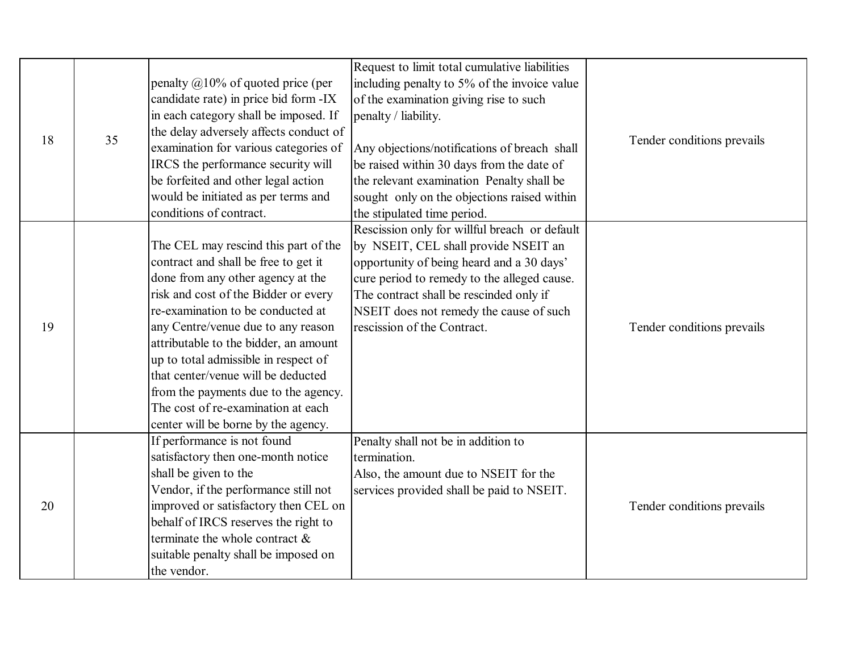| 18 | 35 | penalty $@10\%$ of quoted price (per<br>candidate rate) in price bid form -IX<br>in each category shall be imposed. If<br>the delay adversely affects conduct of<br>examination for various categories of<br>IRCS the performance security will<br>be forfeited and other legal action<br>would be initiated as per terms and                                                                                                                                        | Request to limit total cumulative liabilities<br>including penalty to 5% of the invoice value<br>of the examination giving rise to such<br>penalty / liability.<br>Any objections/notifications of breach shall<br>be raised within 30 days from the date of<br>the relevant examination Penalty shall be<br>sought only on the objections raised within | Tender conditions prevails |
|----|----|----------------------------------------------------------------------------------------------------------------------------------------------------------------------------------------------------------------------------------------------------------------------------------------------------------------------------------------------------------------------------------------------------------------------------------------------------------------------|----------------------------------------------------------------------------------------------------------------------------------------------------------------------------------------------------------------------------------------------------------------------------------------------------------------------------------------------------------|----------------------------|
| 19 |    | conditions of contract.<br>The CEL may rescind this part of the<br>contract and shall be free to get it<br>done from any other agency at the<br>risk and cost of the Bidder or every<br>re-examination to be conducted at<br>any Centre/venue due to any reason<br>attributable to the bidder, an amount<br>up to total admissible in respect of<br>that center/venue will be deducted<br>from the payments due to the agency.<br>The cost of re-examination at each | the stipulated time period.<br>Rescission only for willful breach or default<br>by NSEIT, CEL shall provide NSEIT an<br>opportunity of being heard and a 30 days'<br>cure period to remedy to the alleged cause.<br>The contract shall be rescinded only if<br>NSEIT does not remedy the cause of such<br>rescission of the Contract.                    | Tender conditions prevails |
| 20 |    | center will be borne by the agency.<br>If performance is not found<br>satisfactory then one-month notice<br>shall be given to the<br>Vendor, if the performance still not<br>improved or satisfactory then CEL on<br>behalf of IRCS reserves the right to<br>terminate the whole contract $\&$<br>suitable penalty shall be imposed on<br>the vendor.                                                                                                                | Penalty shall not be in addition to<br>termination.<br>Also, the amount due to NSEIT for the<br>services provided shall be paid to NSEIT.                                                                                                                                                                                                                | Tender conditions prevails |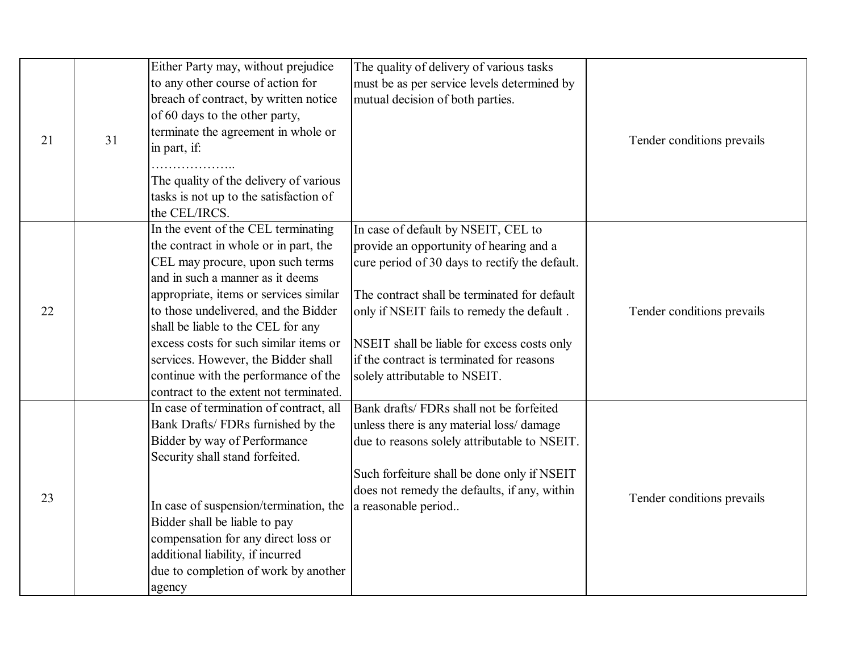| 21 | 31 | Either Party may, without prejudice<br>to any other course of action for<br>breach of contract, by written notice<br>of 60 days to the other party,<br>terminate the agreement in whole or<br>in part, if:<br>The quality of the delivery of various<br>tasks is not up to the satisfaction of<br>the CEL/IRCS.                                                                                                                                 | The quality of delivery of various tasks<br>must be as per service levels determined by<br>mutual decision of both parties.                                                                                                                                                                                                                                 | Tender conditions prevails |
|----|----|-------------------------------------------------------------------------------------------------------------------------------------------------------------------------------------------------------------------------------------------------------------------------------------------------------------------------------------------------------------------------------------------------------------------------------------------------|-------------------------------------------------------------------------------------------------------------------------------------------------------------------------------------------------------------------------------------------------------------------------------------------------------------------------------------------------------------|----------------------------|
| 22 |    | In the event of the CEL terminating<br>the contract in whole or in part, the<br>CEL may procure, upon such terms<br>and in such a manner as it deems<br>appropriate, items or services similar<br>to those undelivered, and the Bidder<br>shall be liable to the CEL for any<br>excess costs for such similar items or<br>services. However, the Bidder shall<br>continue with the performance of the<br>contract to the extent not terminated. | In case of default by NSEIT, CEL to<br>provide an opportunity of hearing and a<br>cure period of 30 days to rectify the default.<br>The contract shall be terminated for default<br>only if NSEIT fails to remedy the default.<br>NSEIT shall be liable for excess costs only<br>if the contract is terminated for reasons<br>solely attributable to NSEIT. | Tender conditions prevails |
| 23 |    | In case of termination of contract, all<br>Bank Drafts/ FDRs furnished by the<br>Bidder by way of Performance<br>Security shall stand forfeited.<br>In case of suspension/termination, the<br>Bidder shall be liable to pay<br>compensation for any direct loss or<br>additional liability, if incurred<br>due to completion of work by another<br>agency                                                                                       | Bank drafts/ FDRs shall not be forfeited<br>unless there is any material loss/damage<br>due to reasons solely attributable to NSEIT.<br>Such forfeiture shall be done only if NSEIT<br>does not remedy the defaults, if any, within<br>a reasonable period                                                                                                  | Tender conditions prevails |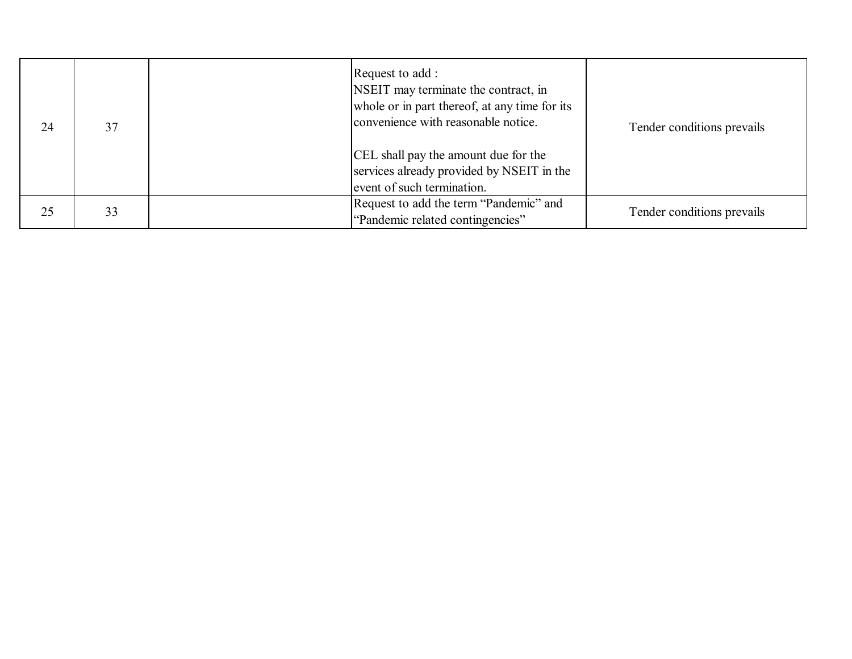| 24 | 37 | Request to add:<br>NSEIT may terminate the contract, in<br>whole or in part thereof, at any time for its<br>convenience with reasonable notice.<br>CEL shall pay the amount due for the<br>services already provided by NSEIT in the<br>event of such termination. | Tender conditions prevails |
|----|----|--------------------------------------------------------------------------------------------------------------------------------------------------------------------------------------------------------------------------------------------------------------------|----------------------------|
| 25 | 33 | Request to add the term "Pandemic" and<br>"Pandemic related contingencies"                                                                                                                                                                                         | Tender conditions prevails |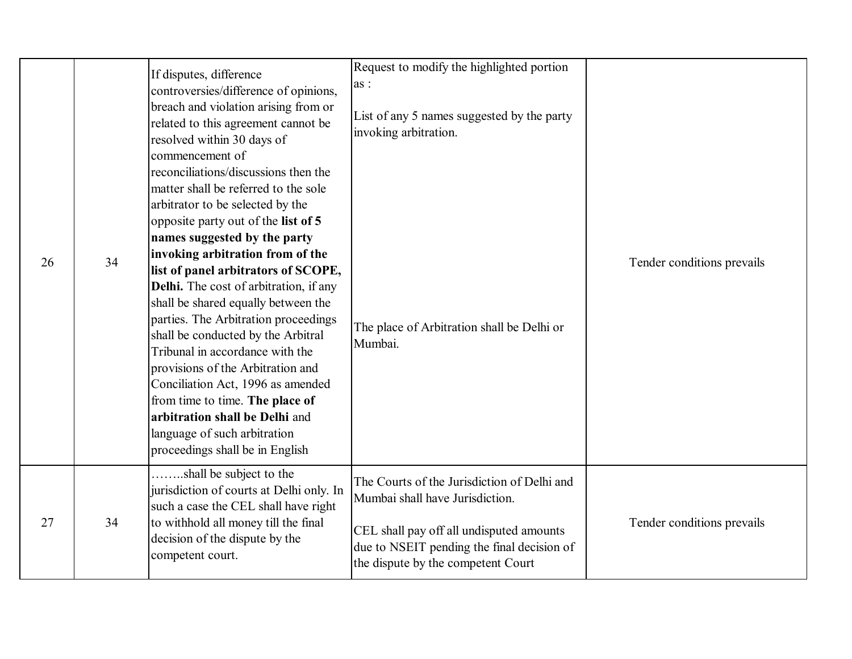|    |    | If disputes, difference<br>controversies/difference of opinions,<br>breach and violation arising from or<br>related to this agreement cannot be<br>resolved within 30 days of                                                                                                                                                                                                                                                                                                                                                                                                                                                                                                                             | Request to modify the highlighted portion<br>as :<br>List of any 5 names suggested by the party<br>invoking arbitration.                                                                                       |                            |
|----|----|-----------------------------------------------------------------------------------------------------------------------------------------------------------------------------------------------------------------------------------------------------------------------------------------------------------------------------------------------------------------------------------------------------------------------------------------------------------------------------------------------------------------------------------------------------------------------------------------------------------------------------------------------------------------------------------------------------------|----------------------------------------------------------------------------------------------------------------------------------------------------------------------------------------------------------------|----------------------------|
| 26 | 34 | commencement of<br>reconciliations/discussions then the<br>matter shall be referred to the sole<br>arbitrator to be selected by the<br>opposite party out of the list of 5<br>names suggested by the party<br>invoking arbitration from of the<br>list of panel arbitrators of SCOPE,<br>Delhi. The cost of arbitration, if any<br>shall be shared equally between the<br>parties. The Arbitration proceedings<br>shall be conducted by the Arbitral<br>Tribunal in accordance with the<br>provisions of the Arbitration and<br>Conciliation Act, 1996 as amended<br>from time to time. The place of<br>arbitration shall be Delhi and<br>language of such arbitration<br>proceedings shall be in English | The place of Arbitration shall be Delhi or<br>Mumbai.                                                                                                                                                          | Tender conditions prevails |
| 27 | 34 | shall be subject to the<br>jurisdiction of courts at Delhi only. In<br>such a case the CEL shall have right<br>to withhold all money till the final<br>decision of the dispute by the<br>competent court.                                                                                                                                                                                                                                                                                                                                                                                                                                                                                                 | The Courts of the Jurisdiction of Delhi and<br>Mumbai shall have Jurisdiction.<br>CEL shall pay off all undisputed amounts<br>due to NSEIT pending the final decision of<br>the dispute by the competent Court | Tender conditions prevails |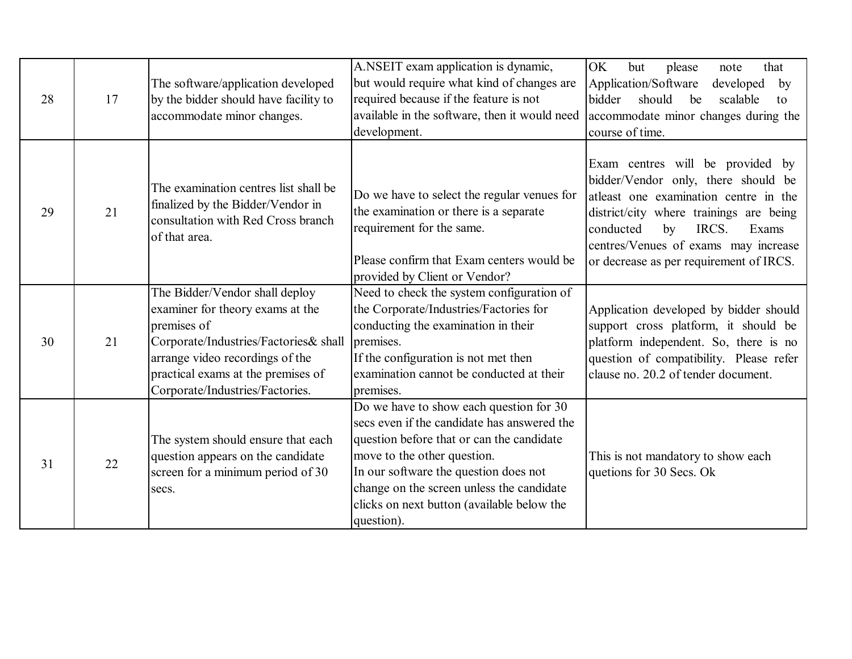| 28 | 17 | The software/application developed<br>by the bidder should have facility to<br>accommodate minor changes.                                                                                                                              | A.NSEIT exam application is dynamic,<br>but would require what kind of changes are<br>required because if the feature is not<br>available in the software, then it would need<br>development.                                                                                                                        | OK<br>but<br>please<br>that<br>note<br>Application/Software<br>developed<br>by<br>should<br>bidder<br>be<br>scalable<br>to<br>accommodate minor changes during the<br>course of time.                                                                                               |
|----|----|----------------------------------------------------------------------------------------------------------------------------------------------------------------------------------------------------------------------------------------|----------------------------------------------------------------------------------------------------------------------------------------------------------------------------------------------------------------------------------------------------------------------------------------------------------------------|-------------------------------------------------------------------------------------------------------------------------------------------------------------------------------------------------------------------------------------------------------------------------------------|
| 29 | 21 | The examination centres list shall be<br>finalized by the Bidder/Vendor in<br>consultation with Red Cross branch<br>of that area.                                                                                                      | Do we have to select the regular venues for<br>the examination or there is a separate<br>requirement for the same.<br>Please confirm that Exam centers would be<br>provided by Client or Vendor?                                                                                                                     | Exam centres will be provided by<br>bidder/Vendor only, there should be<br>atleast one examination centre in the<br>district/city where trainings are being<br>conducted<br>IRCS.<br>by<br>Exams<br>centres/Venues of exams may increase<br>or decrease as per requirement of IRCS. |
| 30 | 21 | The Bidder/Vendor shall deploy<br>examiner for theory exams at the<br>premises of<br>Corporate/Industries/Factories& shall<br>arrange video recordings of the<br>practical exams at the premises of<br>Corporate/Industries/Factories. | Need to check the system configuration of<br>the Corporate/Industries/Factories for<br>conducting the examination in their<br>premises.<br>If the configuration is not met then<br>examination cannot be conducted at their<br>premises.                                                                             | Application developed by bidder should<br>support cross platform, it should be<br>platform independent. So, there is no<br>question of compatibility. Please refer<br>clause no. 20.2 of tender document.                                                                           |
| 31 | 22 | The system should ensure that each<br>question appears on the candidate<br>screen for a minimum period of 30<br>secs.                                                                                                                  | Do we have to show each question for 30<br>secs even if the candidate has answered the<br>question before that or can the candidate<br>move to the other question.<br>In our software the question does not<br>change on the screen unless the candidate<br>clicks on next button (available below the<br>question). | This is not mandatory to show each<br>quetions for 30 Secs. Ok                                                                                                                                                                                                                      |